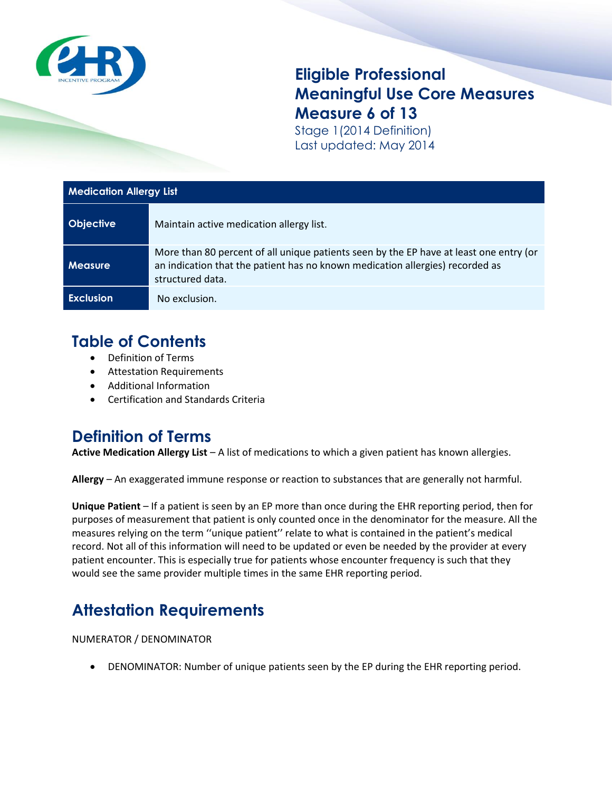

## **Eligible Professional Meaningful Use Core Measures Measure 6 of 13**

Stage 1(2014 Definition) Last updated: May 2014

| <b>Medication Allergy List</b> |                                                                                                                                                                                             |
|--------------------------------|---------------------------------------------------------------------------------------------------------------------------------------------------------------------------------------------|
| <b>Objective</b>               | Maintain active medication allergy list.                                                                                                                                                    |
| <b>Measure</b>                 | More than 80 percent of all unique patients seen by the EP have at least one entry (or<br>an indication that the patient has no known medication allergies) recorded as<br>structured data. |
| <b>Exclusion</b>               | No exclusion.                                                                                                                                                                               |

## **Table of Contents**

- Definition of Terms
- Attestation Requirements
- Additional Information
- Certification and Standards Criteria

## **Definition of Terms**

**Active Medication Allergy List** – A list of medications to which a given patient has known allergies.

**Allergy** – An exaggerated immune response or reaction to substances that are generally not harmful.

**Unique Patient** – If a patient is seen by an EP more than once during the EHR reporting period, then for purposes of measurement that patient is only counted once in the denominator for the measure. All the measures relying on the term ''unique patient'' relate to what is contained in the patient's medical record. Not all of this information will need to be updated or even be needed by the provider at every patient encounter. This is especially true for patients whose encounter frequency is such that they would see the same provider multiple times in the same EHR reporting period.

# **Attestation Requirements**

NUMERATOR / DENOMINATOR

DENOMINATOR: Number of unique patients seen by the EP during the EHR reporting period.